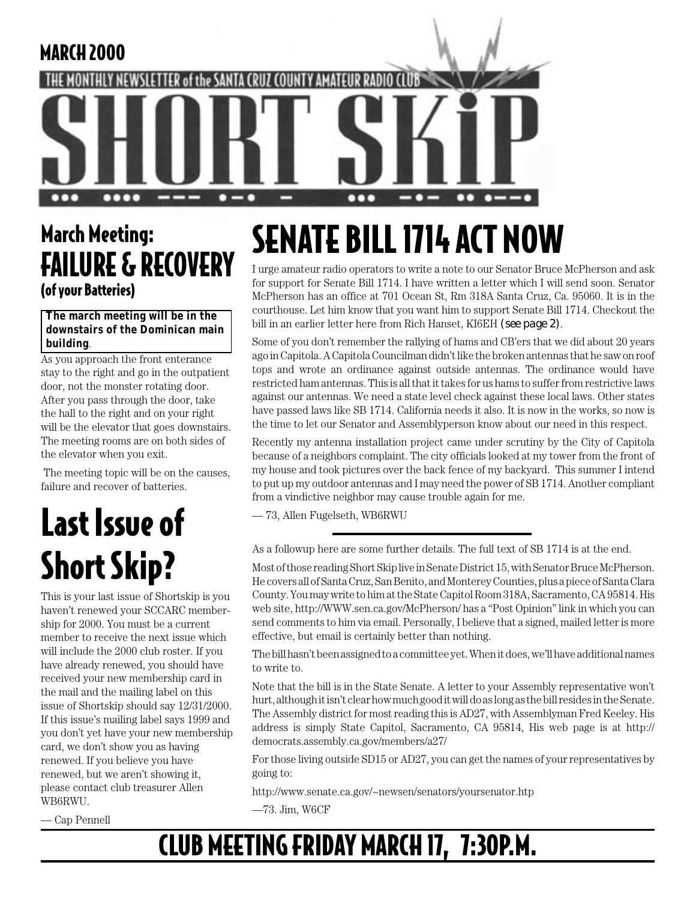

## March Meeting: FAILURE & RECOVERY (of your Batteries)

#### **The march meeting will be in the downstairs of the Dominican main building**.

As you approach the front enterance stay to the right and go in the outpatient door, not the monster rotating door. After you pass through the door, take the hall to the right and on your right will be the elevator that goes downstairs. The meeting rooms are on both sides of the elevator when you exit.

 The meeting topic will be on the causes, failure and recover of batteries.

## Last Issue of Short Skip?

This is your last issue of Shortskip is you haven't renewed your SCCARC membership for 2000. You must be a current member to receive the next issue which will include the 2000 club roster. If you have already renewed, you should have received your new membership card in the mail and the mailing label on this issue of Shortskip should say 12/31/2000. If this issue's mailing label says 1999 and you don't yet have your new membership card, we don't show you as having renewed. If you believe you have renewed, but we aren't showing it, please contact club treasurer Allen WB6RWU.

— Cap Pennell

## SENATE BILL 1714 ACT NOW

I urge amateur radio operators to write a note to our Senator Bruce McPherson and ask for support for Senate Bill 1714. I have written a letter which I will send soon. Senator McPherson has an office at 701 Ocean St, Rm 318A Santa Cruz, Ca. 95060. It is in the courthouse. Let him know that you want him to support Senate Bill 1714. Checkout the bill in an earlier letter here from Rich Hanset, KI6EH *(see page 2)*.

Some of you don't remember the rallying of hams and CB'ers that we did about 20 years ago in Capitola. A Capitola Councilman didn't like the broken antennas that he saw on roof tops and wrote an ordinance against outside antennas. The ordinance would have restricted ham antennas. This is all that it takes for us hams to suffer from restrictive laws against our antennas. We need a state level check against these local laws. Other states have passed laws like SB 1714. California needs it also. It is now in the works, so now is the time to let our Senator and Assemblyperson know about our need in this respect.

Recently my antenna installation project came under scrutiny by the City of Capitola because of a neighbors complaint. The city officials looked at my tower from the front of my house and took pictures over the back fence of my backyard. This summer I intend to put up my outdoor antennas and I may need the power of SB 1714. Another compliant from a vindictive neighbor may cause trouble again for me.

— 73, Allen Fugelseth, WB6RWU

As a followup here are some further details. The full text of SB 1714 is at the end.

Most of those reading Short Skip live in Senate District 15, with Senator Bruce McPherson. He covers all of Santa Cruz, San Benito, and Monterey Counties, plus a piece of Santa Clara County. You may write to him at the State Capitol Room 318A, Sacramento, CA 95814. His web site, http://WWW.sen.ca.gov/McPherson/ has a "Post Opinion" link in which you can send comments to him via email. Personally, I believe that a signed, mailed letter is more effective, but email is certainly better than nothing.

The bill hasn't been assigned to a committee yet. When it does, we'll have additional names to write to.

Note that the bill is in the State Senate. A letter to your Assembly representative won't hurt, although it isn't clear how much good it will do as long as the bill resides in the Senate. The Assembly district for most reading this is AD27, with Assemblyman Fred Keeley. His address is simply State Capitol, Sacramento, CA 95814, His web page is at http:// democrats.assembly.ca.gov/members/a27/

For those living outside SD15 or AD27, you can get the names of your representatives by going to:

http://www.senate.ca.gov/~newsen/senators/yoursenator.htp

—73. Jim, W6CF

## CLUB MEETING FRIDAY MARCH 17, 7:30P.M.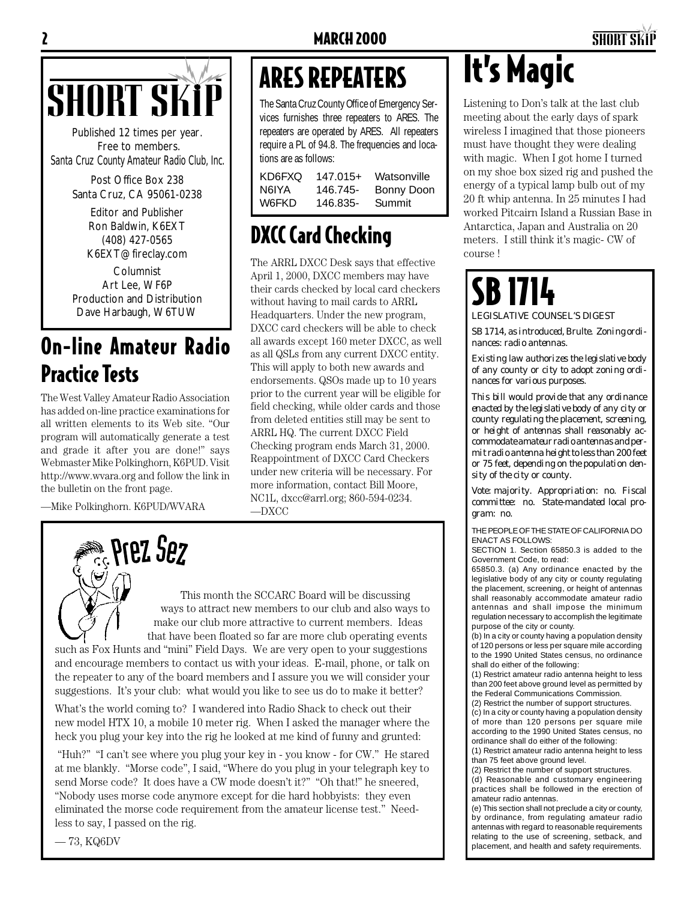# SHORT SKIP ARES REPEATERS It's Magic

Published 12 times per year. Free to members. *Santa Cruz County Amateur Radio Club, Inc.*

> Post Office Box 238 Santa Cruz, CA 95061-0238

> > Editor and Publisher Ron Baldwin, K6EXT (408) 427-0565 K6EXT@fireclay.com

Columnist Art Lee, WF6P Production and Distribution Dave Harbaugh, W6TUW

## On-line Amateur Radio Practice Tests

The West Valley Amateur Radio Association has added on-line practice examinations for all written elements to its Web site. "Our program will automatically generate a test and grade it after you are done!" says Webmaster Mike Polkinghorn, K6PUD. Visit http://www.wvara.org and follow the link in the bulletin on the front page.

—Mike Polkinghorn. K6PUD/WVARA

# **Prez Sez**

This month the SCCARC Board will be discussing ways to attract new members to our club and also ways to make our club more attractive to current members. Ideas that have been floated so far are more club operating events

such as Fox Hunts and "mini" Field Days. We are very open to your suggestions and encourage members to contact us with your ideas. E-mail, phone, or talk on the repeater to any of the board members and I assure you we will consider your suggestions. It's your club: what would you like to see us do to make it better?

What's the world coming to? I wandered into Radio Shack to check out their new model HTX 10, a mobile 10 meter rig. When I asked the manager where the heck you plug your key into the rig he looked at me kind of funny and grunted:

 "Huh?" "I can't see where you plug your key in - you know - for CW." He stared at me blankly. "Morse code", I said, "Where do you plug in your telegraph key to send Morse code? It does have a CW mode doesn't it?" "Oh that!" he sneered, "Nobody uses morse code anymore except for die hard hobbyists: they even eliminated the morse code requirement from the amateur license test." Needless to say, I passed on the rig.

— 73, KQ6DV

## ARES REPEATERS

The Santa Cruz County Office of Emergency Services furnishes three repeaters to ARES. The repeaters are operated by ARES. All repeaters require a PL of 94.8. The frequencies and locations are as follows:

| KD6FXO | $147.015+$ | Watsonville |
|--------|------------|-------------|
| N6IYA  | 146.745-   | Bonny Doon  |
| W6FKD  | 146.835-   | Summit      |

## DXCC Card Checking

The ARRL DXCC Desk says that effective April 1, 2000, DXCC members may have their cards checked by local card checkers without having to mail cards to ARRL Headquarters. Under the new program, DXCC card checkers will be able to check all awards except 160 meter DXCC, as well as all QSLs from any current DXCC entity. This will apply to both new awards and endorsements. QSOs made up to 10 years prior to the current year will be eligible for field checking, while older cards and those from deleted entities still may be sent to ARRL HQ. The current DXCC Field Checking program ends March 31, 2000. Reappointment of DXCC Card Checkers under new criteria will be necessary. For more information, contact Bill Moore, NC1L, dxcc@arrl.org; 860-594-0234. —DXCC

Listening to Don's talk at the last club meeting about the early days of spark wireless I imagined that those pioneers must have thought they were dealing with magic. When I got home I turned on my shoe box sized rig and pushed the energy of a typical lamp bulb out of my 20 ft whip antenna. In 25 minutes I had worked Pitcairn Island a Russian Base in Antarctica, Japan and Australia on 20 meters. I still think it's magic- CW of course !

## SB 1714 *LEGISLATIVE COUNSEL'S DIGEST*

*SB 1714, as introduced, Brulte. Zoning ordinances: radio antennas.*

*Existing law authorizes the legislative body of any county or city to adopt zoning ordinances for various purposes.*

*This bill would provide that any ordinance enacted by the legislative body of any city or county regulating the placement, screening, or height of antennas shall reasonably accommodate amateur radio antennas and permit radio antenna height to less than 200 feet or 75 feet, depending on the population density of the city or county.*

*Vote: majority. Appropriation: no. Fiscal committee: no. State-mandated local program: no.*

THE PEOPLE OF THE STATE OF CALIFORNIA DO ENACT AS FOLLOWS:

SECTION 1. Section 65850.3 is added to the Government Code, to read:

65850.3. (a) Any ordinance enacted by the legislative body of any city or county regulating the placement, screening, or height of antennas shall reasonably accommodate amateur radio antennas and shall impose the minimum regulation necessary to accomplish the legitimate purpose of the city or county.

(b) In a city or county having a population density of 120 persons or less per square mile according to the 1990 United States census, no ordinance shall do either of the following:

(1) Restrict amateur radio antenna height to less than 200 feet above ground level as permitted by the Federal Communications Commission.

(2) Restrict the number of support structures.

(c) In a city or county having a population density of more than 120 persons per square mile according to the 1990 United States census, no ordinance shall do either of the following:

(1) Restrict amateur radio antenna height to less than 75 feet above ground level. (2) Restrict the number of support structures.

(d) Reasonable and customary engineering practices shall be followed in the erection of amateur radio antennas.

(e) This section shall not preclude a city or county, by ordinance, from regulating amateur radio antennas with regard to reasonable requirements relating to the use of screening, setback, and placement, and health and safety requirements.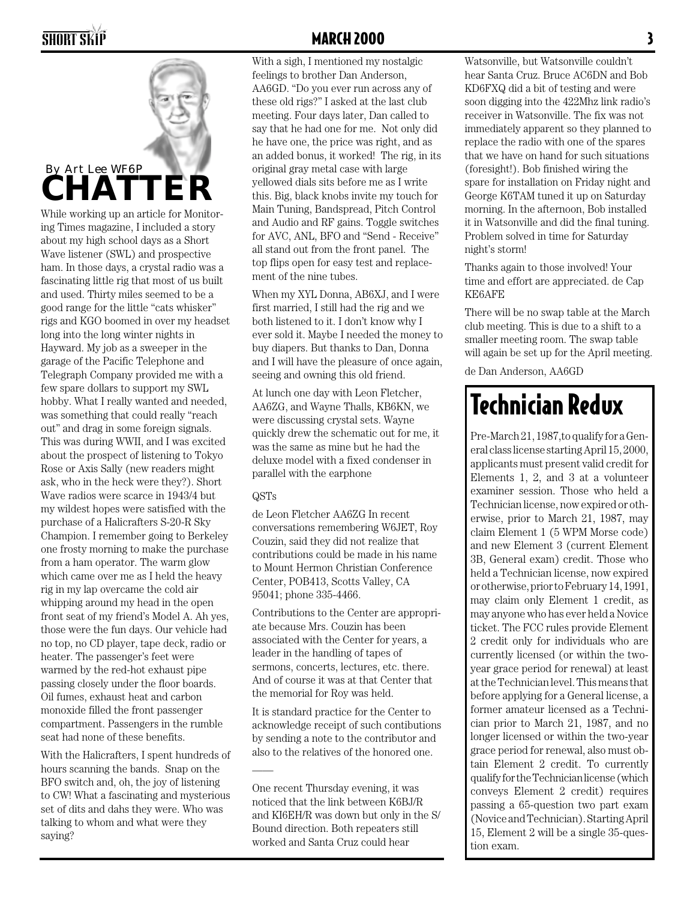

While working up an article for Monitoring Times magazine, I included a story about my high school days as a Short Wave listener (SWL) and prospective ham. In those days, a crystal radio was a fascinating little rig that most of us built and used. Thirty miles seemed to be a good range for the little "cats whisker" rigs and KGO boomed in over my headset long into the long winter nights in Hayward. My job as a sweeper in the garage of the Pacific Telephone and Telegraph Company provided me with a few spare dollars to support my SWL hobby. What I really wanted and needed, was something that could really "reach out" and drag in some foreign signals. This was during WWII, and I was excited about the prospect of listening to Tokyo Rose or Axis Sally (new readers might ask, who in the heck were they?). Short Wave radios were scarce in 1943/4 but my wildest hopes were satisfied with the purchase of a Halicrafters S-20-R Sky Champion. I remember going to Berkeley one frosty morning to make the purchase from a ham operator. The warm glow which came over me as I held the heavy rig in my lap overcame the cold air whipping around my head in the open front seat of my friend's Model A. Ah yes, those were the fun days. Our vehicle had no top, no CD player, tape deck, radio or heater. The passenger's feet were warmed by the red-hot exhaust pipe passing closely under the floor boards. Oil fumes, exhaust heat and carbon monoxide filled the front passenger compartment. Passengers in the rumble seat had none of these benefits.

With the Halicrafters, I spent hundreds of hours scanning the bands. Snap on the BFO switch and, oh, the joy of listening to CW! What a fascinating and mysterious set of dits and dahs they were. Who was talking to whom and what were they saying?

#### SHORT SKIP **MARCH 2000** 3

With a sigh, I mentioned my nostalgic feelings to brother Dan Anderson, AA6GD. "Do you ever run across any of these old rigs?" I asked at the last club meeting. Four days later, Dan called to say that he had one for me. Not only did he have one, the price was right, and as an added bonus, it worked! The rig, in its original gray metal case with large yellowed dials sits before me as I write this. Big, black knobs invite my touch for Main Tuning, Bandspread, Pitch Control and Audio and RF gains. Toggle switches for AVC, ANL, BFO and "Send - Receive" all stand out from the front panel. The top flips open for easy test and replacement of the nine tubes.

When my XYL Donna, AB6XJ, and I were first married, I still had the rig and we both listened to it. I don't know why I ever sold it. Maybe I needed the money to buy diapers. But thanks to Dan, Donna and I will have the pleasure of once again, seeing and owning this old friend.

At lunch one day with Leon Fletcher, AA6ZG, and Wayne Thalls, KB6KN, we were discussing crystal sets. Wayne quickly drew the schematic out for me, it was the same as mine but he had the deluxe model with a fixed condenser in parallel with the earphone

#### QSTs

——

de Leon Fletcher AA6ZG In recent conversations remembering W6JET, Roy Couzin, said they did not realize that contributions could be made in his name to Mount Hermon Christian Conference Center, POB413, Scotts Valley, CA 95041; phone 335-4466.

Contributions to the Center are appropriate because Mrs. Couzin has been associated with the Center for years, a leader in the handling of tapes of sermons, concerts, lectures, etc. there. And of course it was at that Center that the memorial for Roy was held.

It is standard practice for the Center to acknowledge receipt of such contibutions by sending a note to the contributor and also to the relatives of the honored one.

One recent Thursday evening, it was noticed that the link between K6BJ/R and KI6EH/R was down but only in the S/ Bound direction. Both repeaters still worked and Santa Cruz could hear

Watsonville, but Watsonville couldn't hear Santa Cruz. Bruce AC6DN and Bob KD6FXQ did a bit of testing and were soon digging into the 422Mhz link radio's receiver in Watsonville. The fix was not immediately apparent so they planned to replace the radio with one of the spares that we have on hand for such situations (foresight!). Bob finished wiring the spare for installation on Friday night and George K6TAM tuned it up on Saturday morning. In the afternoon, Bob installed it in Watsonville and did the final tuning. Problem solved in time for Saturday night's storm!

Thanks again to those involved! Your time and effort are appreciated. de Cap KE6AFE

There will be no swap table at the March club meeting. This is due to a shift to a smaller meeting room. The swap table will again be set up for the April meeting.

de Dan Anderson, AA6GD

## Technician Redux

Pre-March 21, 1987,to qualify for a General class license starting April 15, 2000, applicants must present valid credit for Elements 1, 2, and 3 at a volunteer examiner session. Those who held a Technician license, now expired or otherwise, prior to March 21, 1987, may claim Element 1 (5 WPM Morse code) and new Element 3 (current Element 3B, General exam) credit. Those who held a Technician license, now expired or otherwise, prior to February 14, 1991, may claim only Element 1 credit, as may anyone who has ever held a Novice ticket. The FCC rules provide Element 2 credit only for individuals who are currently licensed (or within the twoyear grace period for renewal) at least at the Technician level. This means that before applying for a General license, a former amateur licensed as a Technician prior to March 21, 1987, and no longer licensed or within the two-year grace period for renewal, also must obtain Element 2 credit. To currently qualify for the Technician license (which conveys Element 2 credit) requires passing a 65-question two part exam (Novice and Technician). Starting April 15, Element 2 will be a single 35-question exam.